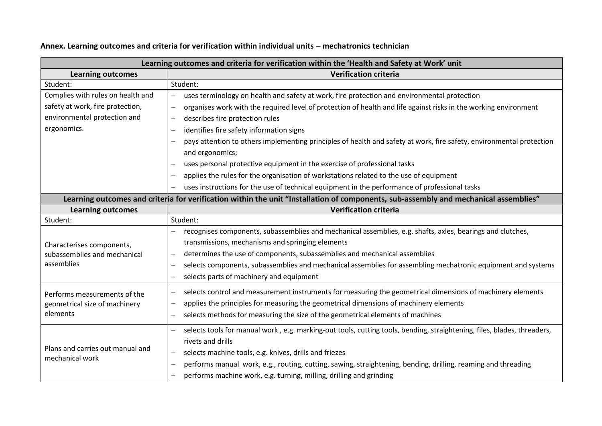| Learning outcomes and criteria for verification within the 'Health and Safety at Work' unit                                                  |  |  |
|----------------------------------------------------------------------------------------------------------------------------------------------|--|--|
| <b>Verification criteria</b>                                                                                                                 |  |  |
| Student:                                                                                                                                     |  |  |
| uses terminology on health and safety at work, fire protection and environmental protection                                                  |  |  |
| organises work with the required level of protection of health and life against risks in the working environment                             |  |  |
| describes fire protection rules                                                                                                              |  |  |
| identifies fire safety information signs                                                                                                     |  |  |
| pays attention to others implementing principles of health and safety at work, fire safety, environmental protection                         |  |  |
| and ergonomics;                                                                                                                              |  |  |
| uses personal protective equipment in the exercise of professional tasks                                                                     |  |  |
| applies the rules for the organisation of workstations related to the use of equipment                                                       |  |  |
| uses instructions for the use of technical equipment in the performance of professional tasks                                                |  |  |
| Learning outcomes and criteria for verification within the unit "Installation of components, sub-assembly and mechanical assemblies"         |  |  |
| <b>Verification criteria</b>                                                                                                                 |  |  |
| Student:                                                                                                                                     |  |  |
| recognises components, subassemblies and mechanical assemblies, e.g. shafts, axles, bearings and clutches,                                   |  |  |
| transmissions, mechanisms and springing elements                                                                                             |  |  |
| determines the use of components, subassemblies and mechanical assemblies<br>—                                                               |  |  |
| selects components, subassemblies and mechanical assemblies for assembling mechatronic equipment and systems                                 |  |  |
| selects parts of machinery and equipment                                                                                                     |  |  |
| selects control and measurement instruments for measuring the geometrical dimensions of machinery elements                                   |  |  |
| applies the principles for measuring the geometrical dimensions of machinery elements<br>—                                                   |  |  |
| selects methods for measuring the size of the geometrical elements of machines                                                               |  |  |
| selects tools for manual work, e.g. marking-out tools, cutting tools, bending, straightening, files, blades, threaders,<br>$\qquad \qquad -$ |  |  |
| rivets and drills                                                                                                                            |  |  |
| selects machine tools, e.g. knives, drills and friezes<br>$\overline{\phantom{0}}$                                                           |  |  |
| performs manual work, e.g., routing, cutting, sawing, straightening, bending, drilling, reaming and threading<br>—                           |  |  |
| performs machine work, e.g. turning, milling, drilling and grinding                                                                          |  |  |
|                                                                                                                                              |  |  |

## **Annex. Learning outcomes and criteria for verification within individual units – mechatronics technician**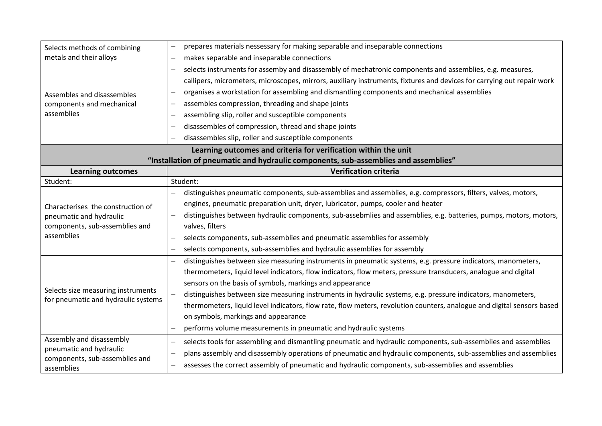| Selects methods of combining                                                                                 | prepares materials nessessary for making separable and inseparable connections                                                       |  |  |
|--------------------------------------------------------------------------------------------------------------|--------------------------------------------------------------------------------------------------------------------------------------|--|--|
| metals and their alloys                                                                                      | makes separable and inseparable connections                                                                                          |  |  |
| Assembles and disassembles                                                                                   | selects instruments for assemby and disassembly of mechatronic components and assemblies, e.g. measures,<br>$\overline{\phantom{m}}$ |  |  |
|                                                                                                              | callipers, micrometers, microscopes, mirrors, auxiliary instruments, fixtures and devices for carrying out repair work               |  |  |
|                                                                                                              | organises a workstation for assembling and dismantling components and mechanical assemblies                                          |  |  |
| components and mechanical                                                                                    | assembles compression, threading and shape joints                                                                                    |  |  |
| assemblies                                                                                                   | assembling slip, roller and susceptible components                                                                                   |  |  |
|                                                                                                              | disassembles of compression, thread and shape joints                                                                                 |  |  |
|                                                                                                              | disassembles slip, roller and susceptible components                                                                                 |  |  |
| Learning outcomes and criteria for verification within the unit                                              |                                                                                                                                      |  |  |
|                                                                                                              | "Installation of pneumatic and hydraulic components, sub-assemblies and assemblies"                                                  |  |  |
| <b>Learning outcomes</b>                                                                                     | <b>Verification criteria</b>                                                                                                         |  |  |
| Student:                                                                                                     | Student:                                                                                                                             |  |  |
|                                                                                                              | distinguishes pneumatic components, sub-assemblies and assemblies, e.g. compressors, filters, valves, motors,                        |  |  |
| Characterises the construction of<br>pneumatic and hydraulic<br>components, sub-assemblies and<br>assemblies | engines, pneumatic preparation unit, dryer, lubricator, pumps, cooler and heater                                                     |  |  |
|                                                                                                              | distinguishes between hydraulic components, sub-assebmlies and assemblies, e.g. batteries, pumps, motors, motors,                    |  |  |
|                                                                                                              | valves, filters                                                                                                                      |  |  |
|                                                                                                              | selects components, sub-assemblies and pneumatic assemblies for assembly                                                             |  |  |
|                                                                                                              | selects components, sub-assemblies and hydraulic assemblies for assembly                                                             |  |  |
|                                                                                                              | distinguishes between size measuring instruments in pneumatic systems, e.g. pressure indicators, manometers,                         |  |  |
| Selects size measuring instruments<br>for pneumatic and hydraulic systems                                    | thermometers, liquid level indicators, flow indicators, flow meters, pressure transducers, analogue and digital                      |  |  |
|                                                                                                              | sensors on the basis of symbols, markings and appearance                                                                             |  |  |
|                                                                                                              | distinguishes between size measuring instruments in hydraulic systems, e.g. pressure indicators, manometers,                         |  |  |
|                                                                                                              | thermometers, liquid level indicators, flow rate, flow meters, revolution counters, analogue and digital sensors based               |  |  |
|                                                                                                              | on symbols, markings and appearance                                                                                                  |  |  |
|                                                                                                              | performs volume measurements in pneumatic and hydraulic systems                                                                      |  |  |
| Assembly and disassembly                                                                                     | selects tools for assembling and dismantling pneumatic and hydraulic components, sub-assemblies and assemblies                       |  |  |
| pneumatic and hydraulic<br>components, sub-assemblies and<br>assemblies                                      | plans assembly and disassembly operations of pneumatic and hydraulic components, sub-assemblies and assemblies<br>—                  |  |  |
|                                                                                                              | assesses the correct assembly of pneumatic and hydraulic components, sub-assemblies and assemblies                                   |  |  |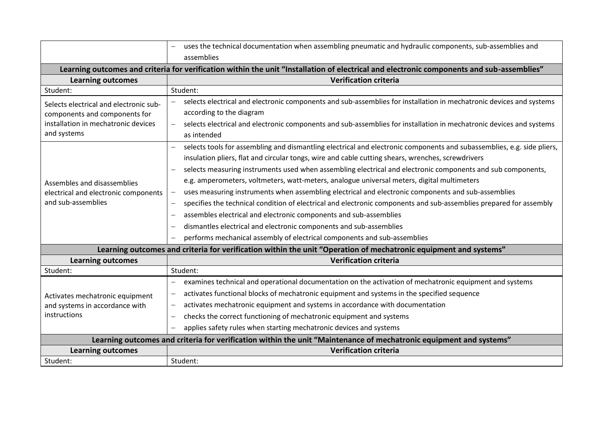|                                                                                                                                           | uses the technical documentation when assembling pneumatic and hydraulic components, sub-assemblies and<br>assemblies                                                                                                                                                                                                                                                                                                                                                                                                                                                                                                                                                                                                                                                                                                                                                                                                   |  |  |  |
|-------------------------------------------------------------------------------------------------------------------------------------------|-------------------------------------------------------------------------------------------------------------------------------------------------------------------------------------------------------------------------------------------------------------------------------------------------------------------------------------------------------------------------------------------------------------------------------------------------------------------------------------------------------------------------------------------------------------------------------------------------------------------------------------------------------------------------------------------------------------------------------------------------------------------------------------------------------------------------------------------------------------------------------------------------------------------------|--|--|--|
| Learning outcomes and criteria for verification within the unit "Installation of electrical and electronic components and sub-assemblies" |                                                                                                                                                                                                                                                                                                                                                                                                                                                                                                                                                                                                                                                                                                                                                                                                                                                                                                                         |  |  |  |
| <b>Learning outcomes</b>                                                                                                                  | <b>Verification criteria</b>                                                                                                                                                                                                                                                                                                                                                                                                                                                                                                                                                                                                                                                                                                                                                                                                                                                                                            |  |  |  |
| Student:                                                                                                                                  | Student:                                                                                                                                                                                                                                                                                                                                                                                                                                                                                                                                                                                                                                                                                                                                                                                                                                                                                                                |  |  |  |
| Selects electrical and electronic sub-<br>components and components for<br>installation in mechatronic devices<br>and systems             | selects electrical and electronic components and sub-assemblies for installation in mechatronic devices and systems<br>according to the diagram<br>selects electrical and electronic components and sub-assemblies for installation in mechatronic devices and systems<br>$\overline{\phantom{0}}$<br>as intended                                                                                                                                                                                                                                                                                                                                                                                                                                                                                                                                                                                                       |  |  |  |
| Assembles and disassemblies<br>electrical and electronic components<br>and sub-assemblies                                                 | selects tools for assembling and dismantling electrical and electronic components and subassemblies, e.g. side pliers,<br>insulation pliers, flat and circular tongs, wire and cable cutting shears, wrenches, screwdrivers<br>selects measuring instruments used when assembling electrical and electronic components and sub components,<br>e.g. amperometers, voltmeters, watt-meters, analogue universal meters, digital multimeters<br>uses measuring instruments when assembling electrical and electronic components and sub-assemblies<br>specifies the technical condition of electrical and electronic components and sub-assemblies prepared for assembly<br>assembles electrical and electronic components and sub-assemblies<br>$\overline{\phantom{0}}$<br>dismantles electrical and electronic components and sub-assemblies<br>performs mechanical assembly of electrical components and sub-assemblies |  |  |  |
| Learning outcomes and criteria for verification within the unit "Operation of mechatronic equipment and systems"                          |                                                                                                                                                                                                                                                                                                                                                                                                                                                                                                                                                                                                                                                                                                                                                                                                                                                                                                                         |  |  |  |
| <b>Learning outcomes</b>                                                                                                                  | <b>Verification criteria</b>                                                                                                                                                                                                                                                                                                                                                                                                                                                                                                                                                                                                                                                                                                                                                                                                                                                                                            |  |  |  |
| Student:                                                                                                                                  | Student:                                                                                                                                                                                                                                                                                                                                                                                                                                                                                                                                                                                                                                                                                                                                                                                                                                                                                                                |  |  |  |
| Activates mechatronic equipment<br>and systems in accordance with<br>instructions                                                         | examines technical and operational documentation on the activation of mechatronic equipment and systems<br>activates functional blocks of mechatronic equipment and systems in the specified sequence<br>—<br>activates mechatronic equipment and systems in accordance with documentation<br>—<br>checks the correct functioning of mechatronic equipment and systems<br>$\qquad \qquad -$<br>applies safety rules when starting mechatronic devices and systems                                                                                                                                                                                                                                                                                                                                                                                                                                                       |  |  |  |
| Learning outcomes and criteria for verification within the unit "Maintenance of mechatronic equipment and systems"                        |                                                                                                                                                                                                                                                                                                                                                                                                                                                                                                                                                                                                                                                                                                                                                                                                                                                                                                                         |  |  |  |
| <b>Learning outcomes</b>                                                                                                                  | <b>Verification criteria</b>                                                                                                                                                                                                                                                                                                                                                                                                                                                                                                                                                                                                                                                                                                                                                                                                                                                                                            |  |  |  |
| Student:                                                                                                                                  | Student:                                                                                                                                                                                                                                                                                                                                                                                                                                                                                                                                                                                                                                                                                                                                                                                                                                                                                                                |  |  |  |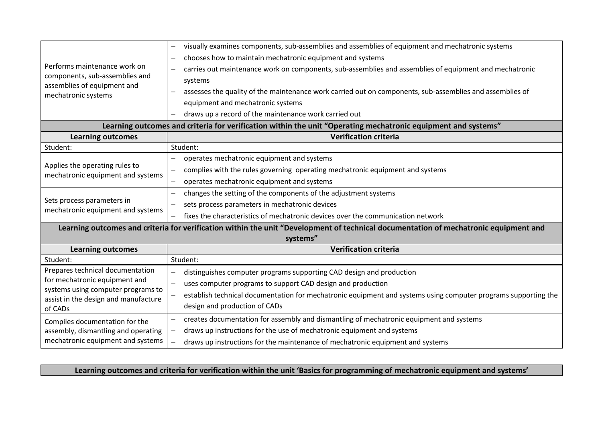| Performs maintenance work on<br>components, sub-assemblies and<br>assemblies of equipment and<br>mechatronic systems                                       | visually examines components, sub-assemblies and assemblies of equipment and mechatronic systems<br>chooses how to maintain mechatronic equipment and systems<br>carries out maintenance work on components, sub-assemblies and assemblies of equipment and mechatronic<br>systems<br>assesses the quality of the maintenance work carried out on components, sub-assemblies and assemblies of<br>equipment and mechatronic systems |  |  |  |
|------------------------------------------------------------------------------------------------------------------------------------------------------------|-------------------------------------------------------------------------------------------------------------------------------------------------------------------------------------------------------------------------------------------------------------------------------------------------------------------------------------------------------------------------------------------------------------------------------------|--|--|--|
|                                                                                                                                                            | draws up a record of the maintenance work carried out                                                                                                                                                                                                                                                                                                                                                                               |  |  |  |
| Learning outcomes and criteria for verification within the unit "Operating mechatronic equipment and systems"                                              |                                                                                                                                                                                                                                                                                                                                                                                                                                     |  |  |  |
| <b>Learning outcomes</b>                                                                                                                                   | <b>Verification criteria</b>                                                                                                                                                                                                                                                                                                                                                                                                        |  |  |  |
| Student:                                                                                                                                                   | Student:                                                                                                                                                                                                                                                                                                                                                                                                                            |  |  |  |
| Applies the operating rules to<br>mechatronic equipment and systems                                                                                        | operates mechatronic equipment and systems<br>complies with the rules governing operating mechatronic equipment and systems<br>operates mechatronic equipment and systems                                                                                                                                                                                                                                                           |  |  |  |
| Sets process parameters in<br>mechatronic equipment and systems                                                                                            | changes the setting of the components of the adjustment systems<br>sets process parameters in mechatronic devices<br>fixes the characteristics of mechatronic devices over the communication network                                                                                                                                                                                                                                |  |  |  |
| Learning outcomes and criteria for verification within the unit "Development of technical documentation of mechatronic equipment and<br>systems"           |                                                                                                                                                                                                                                                                                                                                                                                                                                     |  |  |  |
| <b>Learning outcomes</b>                                                                                                                                   | <b>Verification criteria</b>                                                                                                                                                                                                                                                                                                                                                                                                        |  |  |  |
| Student:                                                                                                                                                   | Student:                                                                                                                                                                                                                                                                                                                                                                                                                            |  |  |  |
| Prepares technical documentation<br>for mechatronic equipment and<br>systems using computer programs to<br>assist in the design and manufacture<br>of CADs | distinguishes computer programs supporting CAD design and production<br>uses computer programs to support CAD design and production<br>establish technical documentation for mechatronic equipment and systems using computer programs supporting the<br>design and production of CADs                                                                                                                                              |  |  |  |
| Compiles documentation for the<br>assembly, dismantling and operating<br>mechatronic equipment and systems                                                 | creates documentation for assembly and dismantling of mechatronic equipment and systems<br>draws up instructions for the use of mechatronic equipment and systems<br>draws up instructions for the maintenance of mechatronic equipment and systems                                                                                                                                                                                 |  |  |  |

**Learning outcomes and criteria for verification within the unit 'Basics for programming of mechatronic equipment and systems'**